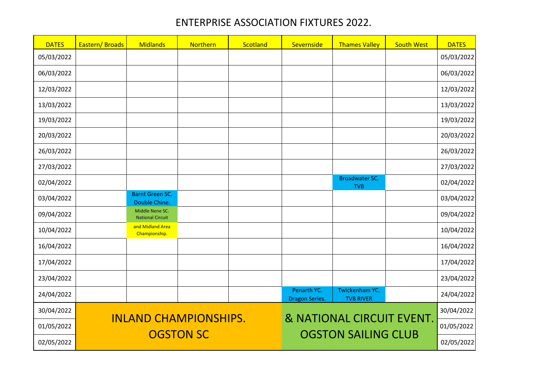## ENTERPRISE ASSOCIATION FIXTURES 2022.

| <b>DATES</b> | Eastern/Broads | <b>Midlands</b>                                                                         | Northern         | Scotland | Severnside                           | <b>Thames Valley</b>                | <b>South West</b> | <b>DATES</b> |
|--------------|----------------|-----------------------------------------------------------------------------------------|------------------|----------|--------------------------------------|-------------------------------------|-------------------|--------------|
| 05/03/2022   |                |                                                                                         |                  |          |                                      |                                     |                   | 05/03/2022   |
| 06/03/2022   |                |                                                                                         |                  |          |                                      |                                     |                   | 06/03/2022   |
| 12/03/2022   |                |                                                                                         |                  |          |                                      |                                     |                   | 12/03/2022   |
| 13/03/2022   |                |                                                                                         |                  |          |                                      |                                     |                   | 13/03/2022   |
| 19/03/2022   |                |                                                                                         |                  |          |                                      |                                     |                   | 19/03/2022   |
| 20/03/2022   |                |                                                                                         |                  |          |                                      |                                     |                   | 20/03/2022   |
| 26/03/2022   |                |                                                                                         |                  |          |                                      |                                     |                   | 26/03/2022   |
| 27/03/2022   |                |                                                                                         |                  |          |                                      |                                     |                   | 27/03/2022   |
| 02/04/2022   |                |                                                                                         |                  |          |                                      | <b>Broadwater SC.</b><br><b>TVB</b> |                   | 02/04/2022   |
| 03/04/2022   |                | <b>Barnt Green SC.</b><br>Double Chine.                                                 |                  |          |                                      |                                     |                   | 03/04/2022   |
| 09/04/2022   |                | Middle Nene SC.<br><b>National Circuit</b>                                              |                  |          |                                      |                                     |                   | 09/04/2022   |
| 10/04/2022   |                | and Midland Area<br>Championship.                                                       |                  |          |                                      |                                     |                   | 10/04/2022   |
| 16/04/2022   |                |                                                                                         |                  |          |                                      |                                     |                   | 16/04/2022   |
| 17/04/2022   |                |                                                                                         |                  |          |                                      |                                     |                   | 17/04/2022   |
| 23/04/2022   |                |                                                                                         |                  |          |                                      |                                     |                   | 23/04/2022   |
| 24/04/2022   |                |                                                                                         |                  |          | Penarth YC.<br><b>Dragon Series.</b> | Twickenham YC.<br><b>TVB RIVER</b>  |                   | 24/04/2022   |
| 30/04/2022   | 30/04/2022     |                                                                                         |                  |          |                                      |                                     |                   |              |
| 01/05/2022   |                | & NATIONAL CIRCUIT EVENT.<br><b>INLAND CHAMPIONSHIPS.</b><br><b>OGSTON SAILING CLUB</b> |                  |          |                                      |                                     |                   | 01/05/2022   |
| 02/05/2022   |                |                                                                                         | <b>OGSTON SC</b> |          |                                      | 02/05/2022                          |                   |              |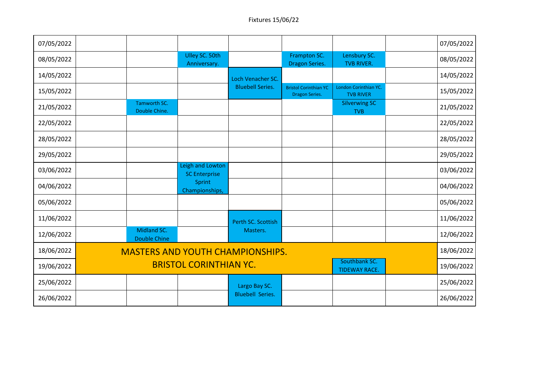| 07/05/2022 |                                                                        |                                    |                                          |                         |                                                       |                                           |  | 07/05/2022 |
|------------|------------------------------------------------------------------------|------------------------------------|------------------------------------------|-------------------------|-------------------------------------------------------|-------------------------------------------|--|------------|
| 08/05/2022 |                                                                        |                                    | Ulley SC. 50th<br>Anniversary.           |                         | Frampton SC.<br><b>Dragon Series.</b>                 | Lensbury SC.<br><b>TVB RIVER.</b>         |  | 08/05/2022 |
| 14/05/2022 |                                                                        |                                    |                                          | Loch Venacher SC.       |                                                       |                                           |  | 14/05/2022 |
| 15/05/2022 |                                                                        |                                    |                                          | <b>Bluebell Series.</b> | <b>Bristol Corinthian YC</b><br><b>Dragon Series.</b> | London Corinthian YC.<br><b>TVB RIVER</b> |  | 15/05/2022 |
| 21/05/2022 |                                                                        | Tamworth SC.<br>Double Chine.      |                                          |                         |                                                       | <b>Silverwing SC</b><br><b>TVB</b>        |  | 21/05/2022 |
| 22/05/2022 |                                                                        |                                    |                                          |                         |                                                       |                                           |  | 22/05/2022 |
| 28/05/2022 |                                                                        |                                    |                                          |                         |                                                       |                                           |  | 28/05/2022 |
| 29/05/2022 |                                                                        |                                    |                                          |                         |                                                       |                                           |  | 29/05/2022 |
| 03/06/2022 |                                                                        |                                    | Leigh and Lowton<br><b>SC Enterprise</b> |                         |                                                       |                                           |  | 03/06/2022 |
| 04/06/2022 |                                                                        |                                    | Sprint<br>Championships,                 |                         |                                                       |                                           |  | 04/06/2022 |
| 05/06/2022 |                                                                        |                                    |                                          |                         |                                                       |                                           |  | 05/06/2022 |
| 11/06/2022 |                                                                        |                                    |                                          | Perth SC. Scottish      |                                                       |                                           |  | 11/06/2022 |
| 12/06/2022 |                                                                        | Midland SC.<br><b>Double Chine</b> |                                          | Masters.                |                                                       |                                           |  | 12/06/2022 |
| 18/06/2022 | 18/06/2022<br><b>MASTERS AND YOUTH CHAMPIONSHIPS.</b>                  |                                    |                                          |                         |                                                       |                                           |  |            |
| 19/06/2022 | Southbank SC.<br><b>BRISTOL CORINTHIAN YC.</b><br><b>TIDEWAY RACE.</b> |                                    |                                          |                         |                                                       |                                           |  | 19/06/2022 |
| 25/06/2022 |                                                                        |                                    |                                          | Largo Bay SC.           |                                                       |                                           |  | 25/06/2022 |
| 26/06/2022 |                                                                        |                                    |                                          | <b>Bluebell Series.</b> |                                                       |                                           |  | 26/06/2022 |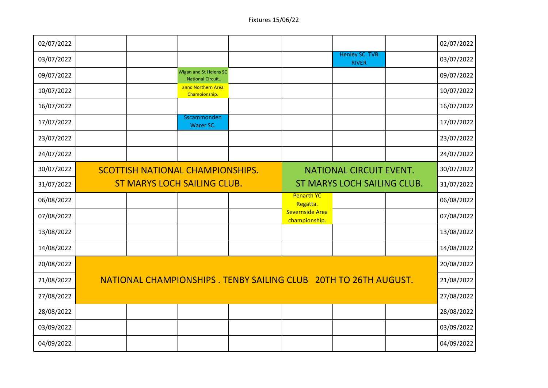| 02/07/2022 |                                                                           |  |                                              |  |                                  |                                       |  | 02/07/2022 |
|------------|---------------------------------------------------------------------------|--|----------------------------------------------|--|----------------------------------|---------------------------------------|--|------------|
| 03/07/2022 |                                                                           |  |                                              |  |                                  | <b>Henley SC. TVB</b><br><b>RIVER</b> |  | 03/07/2022 |
| 09/07/2022 |                                                                           |  | Wigan and St Helens SC<br>. National Circuit |  |                                  |                                       |  | 09/07/2022 |
| 10/07/2022 |                                                                           |  | annd Northern Area<br>Chamoionship.          |  |                                  |                                       |  | 10/07/2022 |
| 16/07/2022 |                                                                           |  |                                              |  |                                  |                                       |  | 16/07/2022 |
| 17/07/2022 |                                                                           |  | Sscammonden<br>Warer SC.                     |  |                                  |                                       |  | 17/07/2022 |
| 23/07/2022 |                                                                           |  |                                              |  |                                  |                                       |  | 23/07/2022 |
| 24/07/2022 |                                                                           |  |                                              |  |                                  |                                       |  | 24/07/2022 |
| 30/07/2022 | <b>SCOTTISH NATIONAL CHAMPIONSHIPS.</b><br><b>NATIONAL CIRCUIT EVENT.</b> |  |                                              |  |                                  |                                       |  | 30/07/2022 |
| 31/07/2022 | <b>ST MARYS LOCH SAILING CLUB.</b>                                        |  |                                              |  | ST MARYS LOCH SAILING CLUB.      |                                       |  | 31/07/2022 |
| 06/08/2022 |                                                                           |  |                                              |  | <b>Penarth YC</b><br>Regatta.    |                                       |  | 06/08/2022 |
| 07/08/2022 |                                                                           |  |                                              |  | Severnside Area<br>championship. |                                       |  | 07/08/2022 |
| 13/08/2022 |                                                                           |  |                                              |  |                                  |                                       |  | 13/08/2022 |
| 14/08/2022 |                                                                           |  |                                              |  |                                  |                                       |  | 14/08/2022 |
| 20/08/2022 |                                                                           |  |                                              |  |                                  |                                       |  | 20/08/2022 |
| 21/08/2022 | NATIONAL CHAMPIONSHIPS. TENBY SAILING CLUB 20TH TO 26TH AUGUST.           |  |                                              |  |                                  |                                       |  | 21/08/2022 |
| 27/08/2022 |                                                                           |  |                                              |  |                                  |                                       |  | 27/08/2022 |
| 28/08/2022 |                                                                           |  |                                              |  |                                  |                                       |  | 28/08/2022 |
| 03/09/2022 |                                                                           |  |                                              |  |                                  |                                       |  | 03/09/2022 |
| 04/09/2022 |                                                                           |  |                                              |  |                                  |                                       |  | 04/09/2022 |